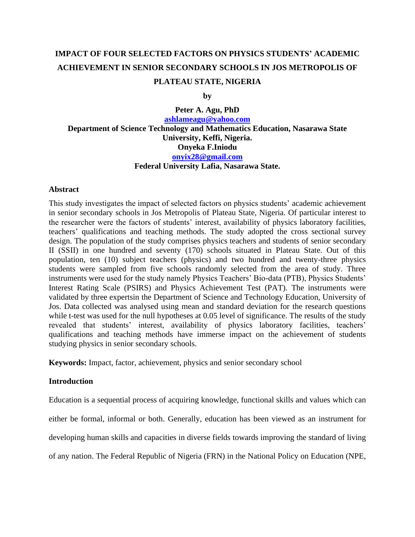# **IMPACT OF FOUR SELECTED FACTORS ON PHYSICS STUDENTS' ACADEMIC ACHIEVEMENT IN SENIOR SECONDARY SCHOOLS IN JOS METROPOLIS OF PLATEAU STATE, NIGERIA**

**by**

**Peter A. Agu, PhD [ashlameagu@yahoo.com](mailto:ashlameagu@yahoo.com) Department of Science Technology and Mathematics Education, Nasarawa State University, Keffi, Nigeria. Onyeka F.Iniodu [onyix28@gmail.com](mailto:onyix28@gmail.com) Federal University Lafia, Nasarawa State.**

## **Abstract**

This study investigates the impact of selected factors on physics students' academic achievement in senior secondary schools in Jos Metropolis of Plateau State, Nigeria. Of particular interest to the researcher were the factors of students' interest, availability of physics laboratory facilities, teachers' qualifications and teaching methods. The study adopted the cross sectional survey design. The population of the study comprises physics teachers and students of senior secondary II (SSII) in one hundred and seventy (170) schools situated in Plateau State. Out of this population, ten (10) subject teachers (physics) and two hundred and twenty-three physics students were sampled from five schools randomly selected from the area of study. Three instruments were used for the study namely Physics Teachers' Bio-data (PTB), Physics Students' Interest Rating Scale (PSIRS) and Physics Achievement Test (PAT). The instruments were validated by three expertsin the Department of Science and Technology Education, University of Jos. Data collected was analysed using mean and standard deviation for the research questions while t-test was used for the null hypotheses at 0.05 level of significance. The results of the study revealed that students' interest, availability of physics laboratory facilities, teachers' qualifications and teaching methods have immerse impact on the achievement of students studying physics in senior secondary schools.

**Keywords:** Impact, factor, achievement, physics and senior secondary school

## **Introduction**

Education is a sequential process of acquiring knowledge, functional skills and values which can either be formal, informal or both. Generally, education has been viewed as an instrument for developing human skills and capacities in diverse fields towards improving the standard of living of any nation. The Federal Republic of Nigeria (FRN) in the National Policy on Education (NPE,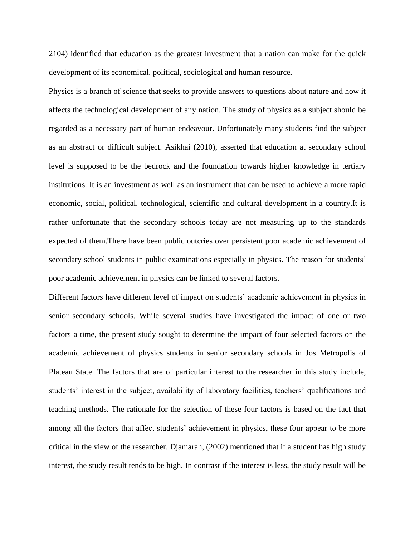2104) identified that education as the greatest investment that a nation can make for the quick development of its economical, political, sociological and human resource.

Physics is a branch of science that seeks to provide answers to questions about nature and how it affects the technological development of any nation. The study of physics as a subject should be regarded as a necessary part of human endeavour. Unfortunately many students find the subject as an abstract or difficult subject. Asikhai (2010), asserted that education at secondary school level is supposed to be the bedrock and the foundation towards higher knowledge in tertiary institutions. It is an investment as well as an instrument that can be used to achieve a more rapid economic, social, political, technological, scientific and cultural development in a country.It is rather unfortunate that the secondary schools today are not measuring up to the standards expected of them.There have been public outcries over persistent poor academic achievement of secondary school students in public examinations especially in physics. The reason for students' poor academic achievement in physics can be linked to several factors.

Different factors have different level of impact on students' academic achievement in physics in senior secondary schools. While several studies have investigated the impact of one or two factors a time, the present study sought to determine the impact of four selected factors on the academic achievement of physics students in senior secondary schools in Jos Metropolis of Plateau State. The factors that are of particular interest to the researcher in this study include, students' interest in the subject, availability of laboratory facilities, teachers' qualifications and teaching methods. The rationale for the selection of these four factors is based on the fact that among all the factors that affect students' achievement in physics, these four appear to be more critical in the view of the researcher. Djamarah, (2002) mentioned that if a student has high study interest, the study result tends to be high. In contrast if the interest is less, the study result will be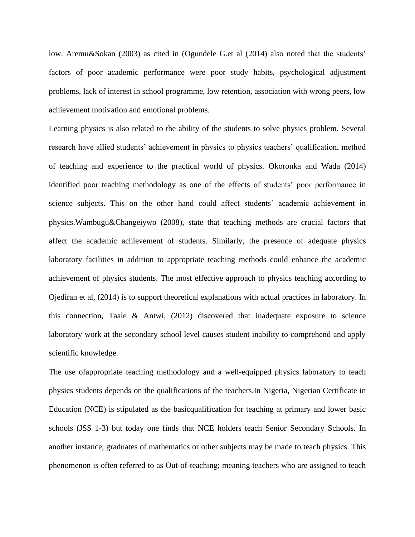low. Aremu&Sokan (2003) as cited in (Ogundele G.et al (2014) also noted that the students' factors of poor academic performance were poor study habits, psychological adjustment problems, lack of interest in school programme, low retention, association with wrong peers, low achievement motivation and emotional problems.

Learning physics is also related to the ability of the students to solve physics problem. Several research have allied students' achievement in physics to physics teachers' qualification, method of teaching and experience to the practical world of physics. Okoronka and Wada (2014) identified poor teaching methodology as one of the effects of students' poor performance in science subjects. This on the other hand could affect students' academic achievement in physics.Wambugu&Changeiywo (2008), state that teaching methods are crucial factors that affect the academic achievement of students. Similarly, the presence of adequate physics laboratory facilities in addition to appropriate teaching methods could enhance the academic achievement of physics students. The most effective approach to physics teaching according to Ojediran et al, (2014) is to support theoretical explanations with actual practices in laboratory. In this connection, Taale & Antwi, (2012) discovered that inadequate exposure to science laboratory work at the secondary school level causes student inability to comprehend and apply scientific knowledge.

The use ofappropriate teaching methodology and a well-equipped physics laboratory to teach physics students depends on the qualifications of the teachers.In Nigeria, Nigerian Certificate in Education (NCE) is stipulated as the basicqualification for teaching at primary and lower basic schools (JSS 1-3) but today one finds that NCE holders teach Senior Secondary Schools. In another instance, graduates of mathematics or other subjects may be made to teach physics. This phenomenon is often referred to as Out-of-teaching; meaning teachers who are assigned to teach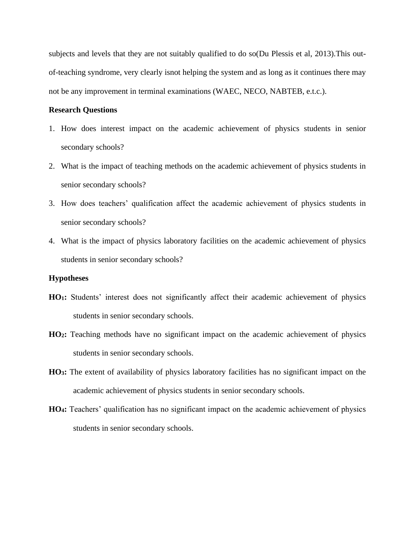subjects and levels that they are not suitably qualified to do so(Du Plessis et al, 2013).This outof-teaching syndrome, very clearly isnot helping the system and as long as it continues there may not be any improvement in terminal examinations (WAEC, NECO, NABTEB, e.t.c.).

## **Research Questions**

- 1. How does interest impact on the academic achievement of physics students in senior secondary schools?
- 2. What is the impact of teaching methods on the academic achievement of physics students in senior secondary schools?
- 3. How does teachers' qualification affect the academic achievement of physics students in senior secondary schools?
- 4. What is the impact of physics laboratory facilities on the academic achievement of physics students in senior secondary schools?

## **Hypotheses**

- **HO1:** Students' interest does not significantly affect their academic achievement of physics students in senior secondary schools.
- **HO2:** Teaching methods have no significant impact on the academic achievement of physics students in senior secondary schools.
- **HO3:** The extent of availability of physics laboratory facilities has no significant impact on the academic achievement of physics students in senior secondary schools.
- **HO4:** Teachers' qualification has no significant impact on the academic achievement of physics students in senior secondary schools.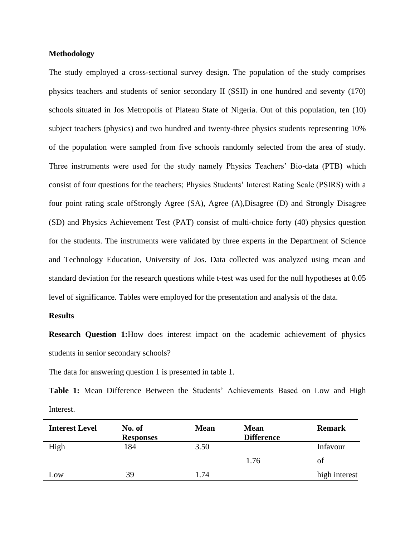#### **Methodology**

The study employed a cross-sectional survey design. The population of the study comprises physics teachers and students of senior secondary II (SSII) in one hundred and seventy (170) schools situated in Jos Metropolis of Plateau State of Nigeria. Out of this population, ten (10) subject teachers (physics) and two hundred and twenty-three physics students representing 10% of the population were sampled from five schools randomly selected from the area of study. Three instruments were used for the study namely Physics Teachers' Bio-data (PTB) which consist of four questions for the teachers; Physics Students' Interest Rating Scale (PSIRS) with a four point rating scale ofStrongly Agree (SA), Agree (A),Disagree (D) and Strongly Disagree (SD) and Physics Achievement Test (PAT) consist of multi-choice forty (40) physics question for the students. The instruments were validated by three experts in the Department of Science and Technology Education, University of Jos. Data collected was analyzed using mean and standard deviation for the research questions while t-test was used for the null hypotheses at 0.05 level of significance. Tables were employed for the presentation and analysis of the data.

#### **Results**

**Research Question 1:**How does interest impact on the academic achievement of physics students in senior secondary schools?

The data for answering question 1 is presented in table 1.

**Table 1:** Mean Difference Between the Students' Achievements Based on Low and High Interest.

| <b>Interest Level</b> | No. of           | <b>Mean</b> | <b>Mean</b>       | <b>Remark</b> |
|-----------------------|------------------|-------------|-------------------|---------------|
|                       | <b>Responses</b> |             | <b>Difference</b> |               |
| High                  | 184              | 3.50        |                   | Infavour      |
|                       |                  |             | 1.76              | of            |
| Low                   | 39               | 1.74        |                   | high interest |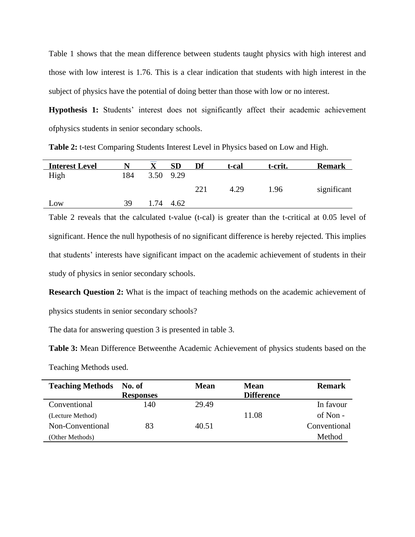Table 1 shows that the mean difference between students taught physics with high interest and those with low interest is 1.76. This is a clear indication that students with high interest in the subject of physics have the potential of doing better than those with low or no interest.

**Hypothesis 1:** Students' interest does not significantly affect their academic achievement ofphysics students in senior secondary schools.

| <b>Interest Level</b> |     |      | <b>SD</b> | Df  | t-cal | t-crit. | <b>Remark</b> |
|-----------------------|-----|------|-----------|-----|-------|---------|---------------|
| High                  | 184 | 3.50 | 9.29      |     |       |         |               |
|                       |     |      |           | 221 | 4.29  | 1.96    | significant   |
| Low                   | 39  | .74  | 4.62      |     |       |         |               |

**Table 2:** t-test Comparing Students Interest Level in Physics based on Low and High.

Table 2 reveals that the calculated t-value (t-cal) is greater than the t-critical at 0.05 level of significant. Hence the null hypothesis of no significant difference is hereby rejected. This implies that students' interests have significant impact on the academic achievement of students in their study of physics in senior secondary schools.

**Research Question 2:** What is the impact of teaching methods on the academic achievement of physics students in senior secondary schools?

The data for answering question 3 is presented in table 3.

**Table 3:** Mean Difference Betweenthe Academic Achievement of physics students based on the

Teaching Methods used.

| <b>Teaching Methods</b> | No. of           | <b>Mean</b> | <b>Mean</b>       | <b>Remark</b> |
|-------------------------|------------------|-------------|-------------------|---------------|
|                         | <b>Responses</b> |             | <b>Difference</b> |               |
| Conventional            | 140              | 29.49       |                   | In favour     |
| (Lecture Method)        |                  |             | 11.08             | of Non -      |
| Non-Conventional        | 83               | 40.51       |                   | Conventional  |
| (Other Methods)         |                  |             |                   | Method        |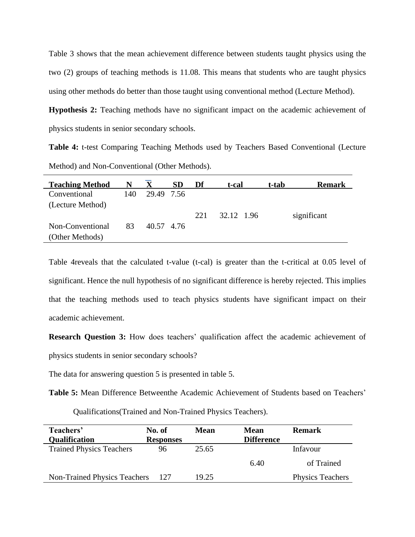Table 3 shows that the mean achievement difference between students taught physics using the two (2) groups of teaching methods is 11.08. This means that students who are taught physics using other methods do better than those taught using conventional method (Lecture Method).

**Hypothesis 2:** Teaching methods have no significant impact on the academic achievement of physics students in senior secondary schools.

**Table 4:** t-test Comparing Teaching Methods used by Teachers Based Conventional (Lecture Method) and Non-Conventional (Other Methods).

| <b>Teaching Method</b> | N   |            | <b>SD</b> | Df  | t-cal      | t-tab | <b>Remark</b> |
|------------------------|-----|------------|-----------|-----|------------|-------|---------------|
| Conventional           | 140 | 29.49 7.56 |           |     |            |       |               |
| (Lecture Method)       |     |            |           |     |            |       |               |
|                        |     |            |           | 221 | 32.12 1.96 |       | significant   |
| Non-Conventional       | 83  | 40.57 4.76 |           |     |            |       |               |
| (Other Methods)        |     |            |           |     |            |       |               |

Table 4reveals that the calculated t-value (t-cal) is greater than the t-critical at 0.05 level of significant. Hence the null hypothesis of no significant difference is hereby rejected. This implies that the teaching methods used to teach physics students have significant impact on their academic achievement.

**Research Question 3:** How does teachers' qualification affect the academic achievement of physics students in senior secondary schools?

The data for answering question 5 is presented in table 5.

**Table 5:** Mean Difference Betweenthe Academic Achievement of Students based on Teachers'

Qualifications(Trained and Non-Trained Physics Teachers).

| Teachers'<br><b>Qualification</b> | No. of<br><b>Responses</b> | <b>Mean</b> | <b>Mean</b><br><b>Difference</b> | <b>Remark</b>           |
|-----------------------------------|----------------------------|-------------|----------------------------------|-------------------------|
| <b>Trained Physics Teachers</b>   | 96                         | 25.65       |                                  | Infavour                |
|                                   |                            |             | 6.40                             | of Trained              |
| Non-Trained Physics Teachers      | -127                       | 19.25       |                                  | <b>Physics Teachers</b> |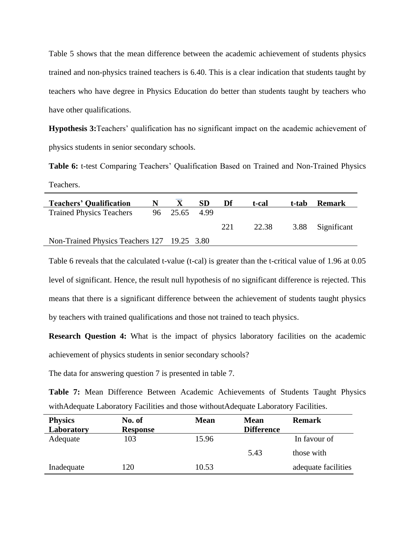Table 5 shows that the mean difference between the academic achievement of students physics trained and non-physics trained teachers is 6.40. This is a clear indication that students taught by teachers who have degree in Physics Education do better than students taught by teachers who have other qualifications.

**Hypothesis 3:**Teachers' qualification has no significant impact on the academic achievement of physics students in senior secondary schools.

**Table 6:** t-test Comparing Teachers' Qualification Based on Trained and Non-Trained Physics Teachers.

| <b>Teachers' Qualification</b>              |               | <b>SD</b> | Df  | t-cal | t-tab | <b>Remark</b>    |
|---------------------------------------------|---------------|-----------|-----|-------|-------|------------------|
| <b>Trained Physics Teachers</b>             | 96 25.65 4.99 |           |     |       |       |                  |
|                                             |               |           | 221 | 22.38 |       | 3.88 Significant |
| Non-Trained Physics Teachers 127 19.25 3.80 |               |           |     |       |       |                  |

Table 6 reveals that the calculated t-value (t-cal) is greater than the t-critical value of 1.96 at 0.05 level of significant. Hence, the result null hypothesis of no significant difference is rejected. This means that there is a significant difference between the achievement of students taught physics by teachers with trained qualifications and those not trained to teach physics.

**Research Question 4:** What is the impact of physics laboratory facilities on the academic achievement of physics students in senior secondary schools?

The data for answering question 7 is presented in table 7.

**Table 7:** Mean Difference Between Academic Achievements of Students Taught Physics withAdequate Laboratory Facilities and those withoutAdequate Laboratory Facilities.

| <b>Physics</b> | No. of          | <b>Mean</b> | <b>Mean</b>       | <b>Remark</b>       |
|----------------|-----------------|-------------|-------------------|---------------------|
| Laboratory     | <b>Response</b> |             | <b>Difference</b> |                     |
| Adequate       | 103             | 15.96       |                   | In favour of        |
|                |                 |             | 5.43              | those with          |
| Inadequate     | 120             | 10.53       |                   | adequate facilities |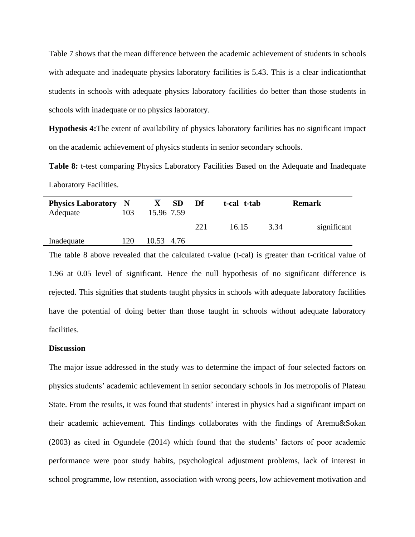Table 7 shows that the mean difference between the academic achievement of students in schools with adequate and inadequate physics laboratory facilities is 5.43. This is a clear indication that students in schools with adequate physics laboratory facilities do better than those students in schools with inadequate or no physics laboratory.

**Hypothesis 4:**The extent of availability of physics laboratory facilities has no significant impact on the academic achievement of physics students in senior secondary schools.

**Table 8:** t-test comparing Physics Laboratory Facilities Based on the Adequate and Inadequate Laboratory Facilities.

| <b>Physics Laboratory</b> | - N | <b>SD</b>  | Df  | t-cal t-tab |      | <b>Remark</b> |
|---------------------------|-----|------------|-----|-------------|------|---------------|
| Adequate                  | 103 | 15.96 7.59 |     |             |      |               |
|                           |     |            | 221 | 16.15       | 3.34 | significant   |
| Inadequate                | 120 | 10.53 4.76 |     |             |      |               |

The table 8 above revealed that the calculated t-value (t-cal) is greater than t-critical value of 1.96 at 0.05 level of significant. Hence the null hypothesis of no significant difference is rejected. This signifies that students taught physics in schools with adequate laboratory facilities have the potential of doing better than those taught in schools without adequate laboratory facilities.

## **Discussion**

The major issue addressed in the study was to determine the impact of four selected factors on physics students' academic achievement in senior secondary schools in Jos metropolis of Plateau State. From the results, it was found that students' interest in physics had a significant impact on their academic achievement. This findings collaborates with the findings of Aremu&Sokan (2003) as cited in Ogundele (2014) which found that the students' factors of poor academic performance were poor study habits, psychological adjustment problems, lack of interest in school programme, low retention, association with wrong peers, low achievement motivation and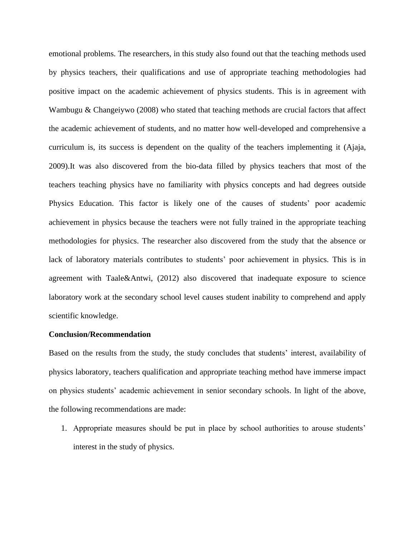emotional problems. The researchers, in this study also found out that the teaching methods used by physics teachers, their qualifications and use of appropriate teaching methodologies had positive impact on the academic achievement of physics students. This is in agreement with Wambugu & Changeiywo (2008) who stated that teaching methods are crucial factors that affect the academic achievement of students, and no matter how well-developed and comprehensive a curriculum is, its success is dependent on the quality of the teachers implementing it (Ajaja, 2009).It was also discovered from the bio-data filled by physics teachers that most of the teachers teaching physics have no familiarity with physics concepts and had degrees outside Physics Education. This factor is likely one of the causes of students' poor academic achievement in physics because the teachers were not fully trained in the appropriate teaching methodologies for physics. The researcher also discovered from the study that the absence or lack of laboratory materials contributes to students' poor achievement in physics. This is in agreement with Taale&Antwi, (2012) also discovered that inadequate exposure to science laboratory work at the secondary school level causes student inability to comprehend and apply scientific knowledge.

#### **Conclusion/Recommendation**

Based on the results from the study, the study concludes that students' interest, availability of physics laboratory, teachers qualification and appropriate teaching method have immerse impact on physics students' academic achievement in senior secondary schools. In light of the above, the following recommendations are made:

1. Appropriate measures should be put in place by school authorities to arouse students' interest in the study of physics.